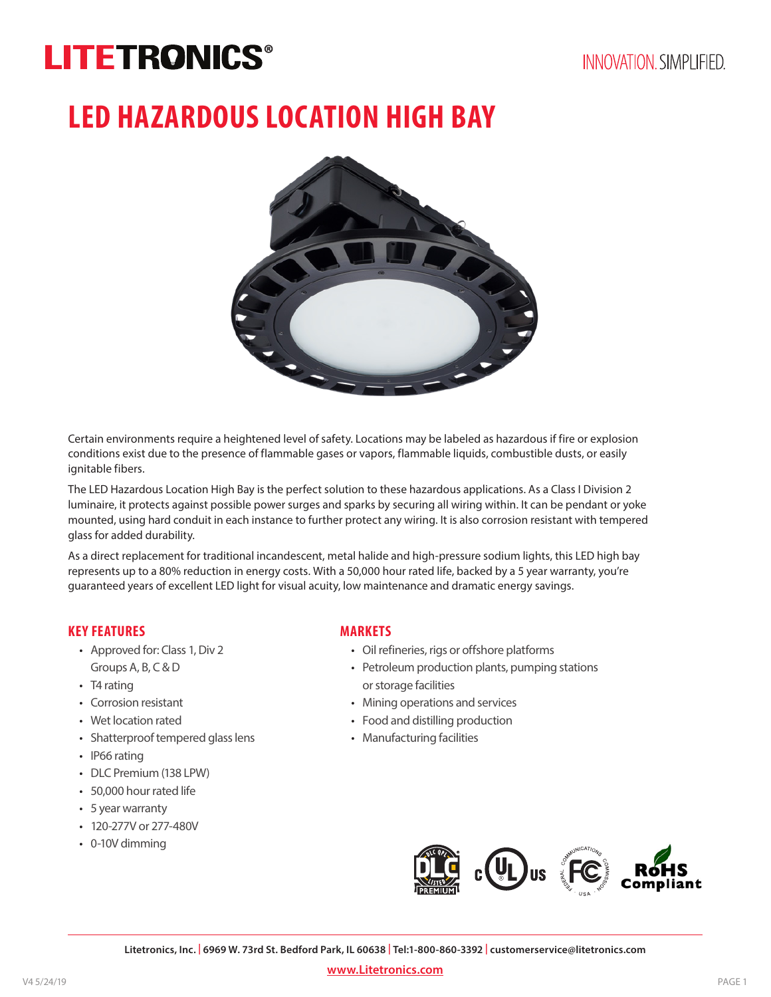# **LITETRONICS®**

# **LED HAZARDOUS LOCATION HIGH BAY**



Certain environments require a heightened level of safety. Locations may be labeled as hazardous if fire or explosion conditions exist due to the presence of flammable gases or vapors, flammable liquids, combustible dusts, or easily ignitable fibers.

The LED Hazardous Location High Bay is the perfect solution to these hazardous applications. As a Class I Division 2 luminaire, it protects against possible power surges and sparks by securing all wiring within. It can be pendant or yoke mounted, using hard conduit in each instance to further protect any wiring. It is also corrosion resistant with tempered glass for added durability.

As a direct replacement for traditional incandescent, metal halide and high-pressure sodium lights, this LED high bay represents up to a 80% reduction in energy costs. With a 50,000 hour rated life, backed by a 5 year warranty, you're guaranteed years of excellent LED light for visual acuity, low maintenance and dramatic energy savings.

#### **KEY FEATURES**

- Approved for: Class 1, Div 2 Groups A, B, C & D
- T4 rating
- Corrosion resistant
- Wet location rated
- Shatterproof tempered glass lens
- IP66 rating
- DLC Premium (138 LPW)
- 50,000 hour rated life
- 5 year warranty
- 120-277V or 277-480V
- 0-10V dimming

#### **MARKETS**

- Oil refineries, rigs or offshore platforms
- Petroleum production plants, pumping stations or storage facilities
- Mining operations and services
- Food and distilling production
- Manufacturing facilities



**Litetronics, Inc. | 6969 W. 73rd St. Bedford Park, IL 60638 | Tel:1-800-860-3392 | customerservice@litetronics.com**

**www.Litetronics.com**

PAGE 1